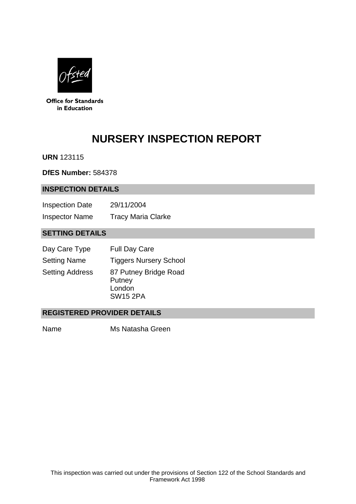

**Office for Standards** in Education

# **NURSERY INSPECTION REPORT**

**URN** 123115

**DfES Number:** 584378

#### **INSPECTION DETAILS**

| <b>Inspection Date</b> | 29/11/2004                |
|------------------------|---------------------------|
| <b>Inspector Name</b>  | <b>Tracy Maria Clarke</b> |

# **SETTING DETAILS**

| Day Care Type          | <b>Full Day Care</b>                                         |
|------------------------|--------------------------------------------------------------|
| <b>Setting Name</b>    | <b>Tiggers Nursery School</b>                                |
| <b>Setting Address</b> | 87 Putney Bridge Road<br>Putney<br>London<br><b>SW15 2PA</b> |

## **REGISTERED PROVIDER DETAILS**

Name Ms Natasha Green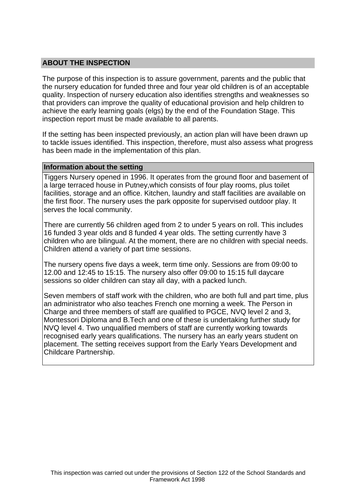## **ABOUT THE INSPECTION**

The purpose of this inspection is to assure government, parents and the public that the nursery education for funded three and four year old children is of an acceptable quality. Inspection of nursery education also identifies strengths and weaknesses so that providers can improve the quality of educational provision and help children to achieve the early learning goals (elgs) by the end of the Foundation Stage. This inspection report must be made available to all parents.

If the setting has been inspected previously, an action plan will have been drawn up to tackle issues identified. This inspection, therefore, must also assess what progress has been made in the implementation of this plan.

#### **Information about the setting**

Tiggers Nursery opened in 1996. It operates from the ground floor and basement of a large terraced house in Putney,which consists of four play rooms, plus toilet facilities, storage and an office. Kitchen, laundry and staff facilities are available on the first floor. The nursery uses the park opposite for supervised outdoor play. It serves the local community.

There are currently 56 children aged from 2 to under 5 years on roll. This includes 16 funded 3 year olds and 8 funded 4 year olds. The setting currently have 3 children who are bilingual. At the moment, there are no children with special needs. Children attend a variety of part time sessions.

The nursery opens five days a week, term time only. Sessions are from 09:00 to 12.00 and 12:45 to 15:15. The nursery also offer 09:00 to 15:15 full daycare sessions so older children can stay all day, with a packed lunch.

Seven members of staff work with the children, who are both full and part time, plus an administrator who also teaches French one morning a week. The Person in Charge and three members of staff are qualified to PGCE, NVQ level 2 and 3, Montessori Diploma and B.Tech and one of these is undertaking further study for NVQ level 4. Two unqualified members of staff are currently working towards recognised early years qualifications. The nursery has an early years student on placement. The setting receives support from the Early Years Development and Childcare Partnership.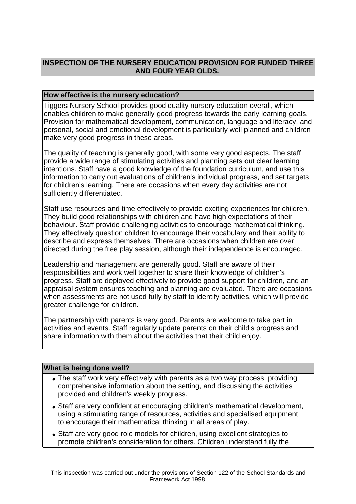## **INSPECTION OF THE NURSERY EDUCATION PROVISION FOR FUNDED THREE AND FOUR YEAR OLDS.**

## **How effective is the nursery education?**

Tiggers Nursery School provides good quality nursery education overall, which enables children to make generally good progress towards the early learning goals. Provision for mathematical development, communication, language and literacy, and personal, social and emotional development is particularly well planned and children make very good progress in these areas.

The quality of teaching is generally good, with some very good aspects. The staff provide a wide range of stimulating activities and planning sets out clear learning intentions. Staff have a good knowledge of the foundation curriculum, and use this information to carry out evaluations of children's individual progress, and set targets for children's learning. There are occasions when every day activities are not sufficiently differentiated.

Staff use resources and time effectively to provide exciting experiences for children. They build good relationships with children and have high expectations of their behaviour. Staff provide challenging activities to encourage mathematical thinking. They effectively question children to encourage their vocabulary and their ability to describe and express themselves. There are occasions when children are over directed during the free play session, although their independence is encouraged.

Leadership and management are generally good. Staff are aware of their responsibilities and work well together to share their knowledge of children's progress. Staff are deployed effectively to provide good support for children, and an appraisal system ensures teaching and planning are evaluated. There are occasions when assessments are not used fully by staff to identify activities, which will provide greater challenge for children.

The partnership with parents is very good. Parents are welcome to take part in activities and events. Staff regularly update parents on their child's progress and share information with them about the activities that their child enjoy.

#### **What is being done well?**

- The staff work very effectively with parents as a two way process, providing comprehensive information about the setting, and discussing the activities provided and children's weekly progress.
- Staff are very confident at encouraging children's mathematical development, using a stimulating range of resources, activities and specialised equipment to encourage their mathematical thinking in all areas of play.
- Staff are very good role models for children, using excellent strategies to promote children's consideration for others. Children understand fully the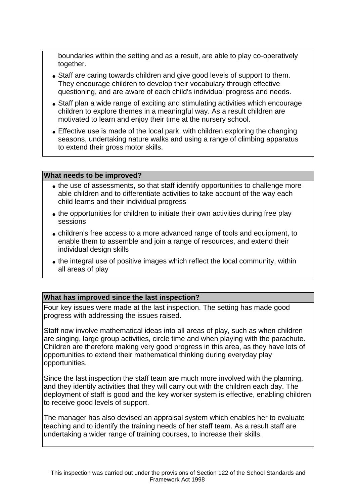boundaries within the setting and as a result, are able to play co-operatively together.

- Staff are caring towards children and give good levels of support to them. They encourage children to develop their vocabulary through effective questioning, and are aware of each child's individual progress and needs.
- Staff plan a wide range of exciting and stimulating activities which encourage children to explore themes in a meaningful way. As a result children are motivated to learn and enjoy their time at the nursery school.
- Effective use is made of the local park, with children exploring the changing seasons, undertaking nature walks and using a range of climbing apparatus to extend their gross motor skills.

#### **What needs to be improved?**

- the use of assessments, so that staff identify opportunities to challenge more able children and to differentiate activities to take account of the way each child learns and their individual progress
- the opportunities for children to initiate their own activities during free play sessions
- children's free access to a more advanced range of tools and equipment, to enable them to assemble and join a range of resources, and extend their individual design skills
- the integral use of positive images which reflect the local community, within all areas of play

#### **What has improved since the last inspection?**

Four key issues were made at the last inspection. The setting has made good progress with addressing the issues raised.

Staff now involve mathematical ideas into all areas of play, such as when children are singing, large group activities, circle time and when playing with the parachute. Children are therefore making very good progress in this area, as they have lots of opportunities to extend their mathematical thinking during everyday play opportunities.

Since the last inspection the staff team are much more involved with the planning, and they identify activities that they will carry out with the children each day. The deployment of staff is good and the key worker system is effective, enabling children to receive good levels of support.

The manager has also devised an appraisal system which enables her to evaluate teaching and to identify the training needs of her staff team. As a result staff are undertaking a wider range of training courses, to increase their skills.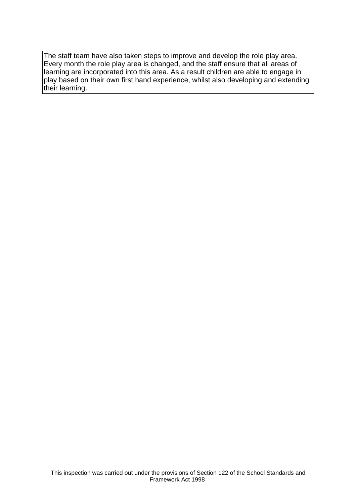The staff team have also taken steps to improve and develop the role play area. Every month the role play area is changed, and the staff ensure that all areas of learning are incorporated into this area. As a result children are able to engage in play based on their own first hand experience, whilst also developing and extending their learning.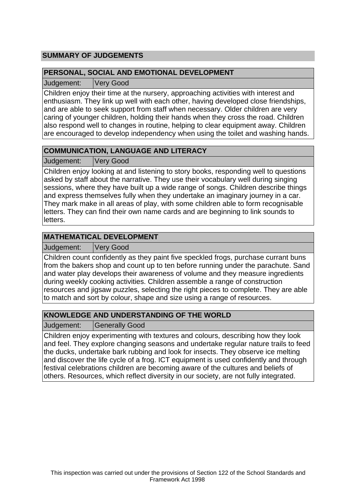## **SUMMARY OF JUDGEMENTS**

## **PERSONAL, SOCIAL AND EMOTIONAL DEVELOPMENT**

Judgement: Very Good

Children enjoy their time at the nursery, approaching activities with interest and enthusiasm. They link up well with each other, having developed close friendships, and are able to seek support from staff when necessary. Older children are very caring of younger children, holding their hands when they cross the road. Children also respond well to changes in routine, helping to clear equipment away. Children are encouraged to develop independency when using the toilet and washing hands.

## **COMMUNICATION, LANGUAGE AND LITERACY**

Judgement: Very Good

Children enjoy looking at and listening to story books, responding well to questions asked by staff about the narrative. They use their vocabulary well during singing sessions, where they have built up a wide range of songs. Children describe things and express themselves fully when they undertake an imaginary journey in a car. They mark make in all areas of play, with some children able to form recognisable letters. They can find their own name cards and are beginning to link sounds to letters.

## **MATHEMATICAL DEVELOPMENT**

Judgement: Very Good

Children count confidently as they paint five speckled frogs, purchase currant buns from the bakers shop and count up to ten before running under the parachute. Sand and water play develops their awareness of volume and they measure ingredients during weekly cooking activities. Children assemble a range of construction resources and jigsaw puzzles, selecting the right pieces to complete. They are able to match and sort by colour, shape and size using a range of resources.

# **KNOWLEDGE AND UNDERSTANDING OF THE WORLD**

Judgement: | Generally Good

Children enjoy experimenting with textures and colours, describing how they look and feel. They explore changing seasons and undertake regular nature trails to feed the ducks, undertake bark rubbing and look for insects. They observe ice melting and discover the life cycle of a frog. ICT equipment is used confidently and through festival celebrations children are becoming aware of the cultures and beliefs of others. Resources, which reflect diversity in our society, are not fully integrated.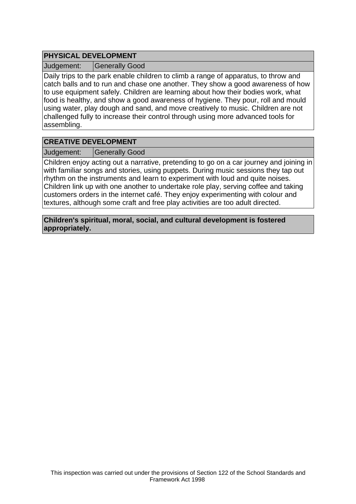## **PHYSICAL DEVELOPMENT**

Judgement: Generally Good

Daily trips to the park enable children to climb a range of apparatus, to throw and catch balls and to run and chase one another. They show a good awareness of how to use equipment safely. Children are learning about how their bodies work, what food is healthy, and show a good awareness of hygiene. They pour, roll and mould using water, play dough and sand, and move creatively to music. Children are not challenged fully to increase their control through using more advanced tools for assembling.

## **CREATIVE DEVELOPMENT**

Judgement: Generally Good

Children enjoy acting out a narrative, pretending to go on a car journey and joining in with familiar songs and stories, using puppets. During music sessions they tap out rhythm on the instruments and learn to experiment with loud and quite noises. Children link up with one another to undertake role play, serving coffee and taking customers orders in the internet café. They enjoy experimenting with colour and textures, although some craft and free play activities are too adult directed.

**Children's spiritual, moral, social, and cultural development is fostered appropriately.**